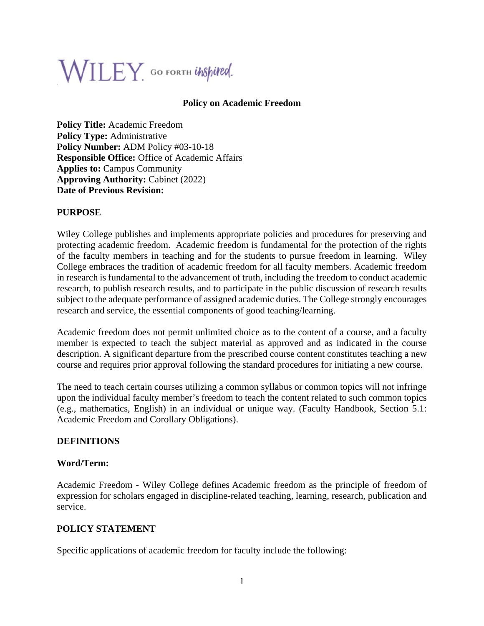# WILEY. GO FORTH UNSpired.

### **Policy on Academic Freedom**

**Policy Title:** Academic Freedom **Policy Type:** Administrative **Policy Number:** ADM Policy #03-10-18 **Responsible Office:** Office of Academic Affairs **Applies to:** Campus Community **Approving Authority:** Cabinet (2022) **Date of Previous Revision:** 

# **PURPOSE**

Wiley College publishes and implements appropriate policies and procedures for preserving and protecting academic freedom.Academic freedom is fundamental for the protection of the rights of the faculty members in teaching and for the students to pursue freedom in learning. Wiley College embraces the tradition of academic freedom for all faculty members. Academic freedom in research is fundamental to the advancement of truth, including the freedom to conduct academic research, to publish research results, and to participate in the public discussion of research results subject to the adequate performance of assigned academic duties. The College strongly encourages research and service, the essential components of good teaching/learning.

Academic freedom does not permit unlimited choice as to the content of a course, and a faculty member is expected to teach the subject material as approved and as indicated in the course description. A significant departure from the prescribed course content constitutes teaching a new course and requires prior approval following the standard procedures for initiating a new course.

The need to teach certain courses utilizing a common syllabus or common topics will not infringe upon the individual faculty member's freedom to teach the content related to such common topics (e.g., mathematics, English) in an individual or unique way. (Faculty Handbook, Section 5.1: Academic Freedom and Corollary Obligations).

# **DEFINITIONS**

### **Word/Term:**

Academic Freedom - Wiley College defines Academic freedom as the principle of freedom of expression for scholars engaged in discipline-related teaching, learning, research, publication and service.

# **POLICY STATEMENT**

Specific applications of academic freedom for faculty include the following: